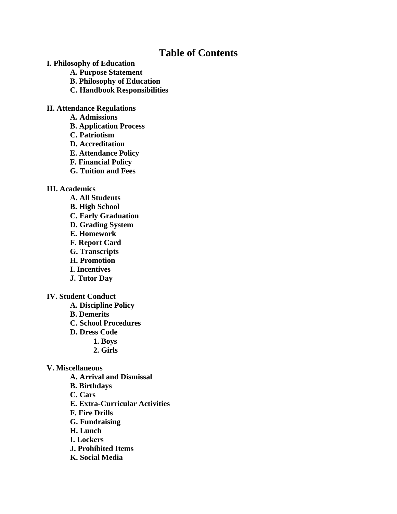# **Table of Contents**

- **I. Philosophy of Education**
	- **A. Purpose Statement**
	- **B. Philosophy of Education**
	- **C. Handbook Responsibilities**

### **II. Attendance Regulations**

- **A. Admissions**
- **B. Application Process**
- **C. Patriotism**
- **D. Accreditation**
- **E. Attendance Policy**
- **F. Financial Policy**
- **G. Tuition and Fees**

## **III. Academics**

- **A. All Students**
- **B. High School**
- **C. Early Graduation**
- **D. Grading System**
- **E. Homework**
- **F. Report Card**
- **G. Transcripts**
- **H. Promotion**
- **I. Incentives**
- **J. Tutor Day**

# **IV. Student Conduct**

- **A. Discipline Policy**
- **B. Demerits**
- **C. School Procedures**
- **D. Dress Code**
	- **1. Boys**
		- **2. Girls**

# **V. Miscellaneous**

**A. Arrival and Dismissal B. Birthdays C. Cars E. Extra-Curricular Activities F. Fire Drills G. Fundraising H. Lunch I. Lockers J. Prohibited Items K. Social Media**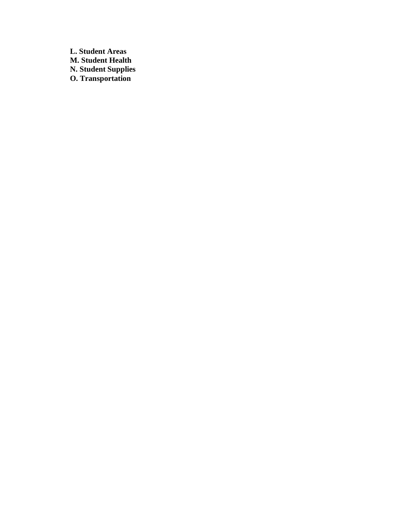**L. Student Areas M. Student Health N. Student Supplies O. Transportation**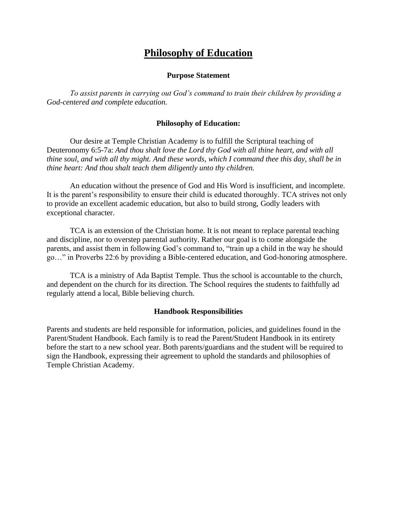# **Philosophy of Education**

### **Purpose Statement**

*To assist parents in carrying out God's command to train their children by providing a God-centered and complete education.* 

# **Philosophy of Education:**

Our desire at Temple Christian Academy is to fulfill the Scriptural teaching of Deuteronomy 6:5-7a: *And thou shalt love the Lord thy God with all thine heart, and with all thine soul, and with all thy might. And these words, which I command thee this day, shall be in thine heart: And thou shalt teach them diligently unto thy children.* 

An education without the presence of God and His Word is insufficient, and incomplete. It is the parent's responsibility to ensure their child is educated thoroughly. TCA strives not only to provide an excellent academic education, but also to build strong, Godly leaders with exceptional character.

TCA is an extension of the Christian home. It is not meant to replace parental teaching and discipline, nor to overstep parental authority. Rather our goal is to come alongside the parents, and assist them in following God's command to, "train up a child in the way he should go…" in Proverbs 22:6 by providing a Bible-centered education, and God-honoring atmosphere.

TCA is a ministry of Ada Baptist Temple. Thus the school is accountable to the church, and dependent on the church for its direction. The School requires the students to faithfully ad regularly attend a local, Bible believing church.

### **Handbook Responsibilities**

Parents and students are held responsible for information, policies, and guidelines found in the Parent/Student Handbook. Each family is to read the Parent/Student Handbook in its entirety before the start to a new school year. Both parents/guardians and the student will be required to sign the Handbook, expressing their agreement to uphold the standards and philosophies of Temple Christian Academy.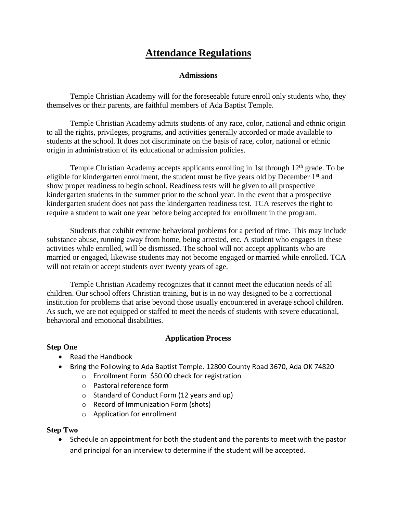# **Attendance Regulations**

# **Admissions**

Temple Christian Academy will for the foreseeable future enroll only students who, they themselves or their parents, are faithful members of Ada Baptist Temple.

Temple Christian Academy admits students of any race, color, national and ethnic origin to all the rights, privileges, programs, and activities generally accorded or made available to students at the school. It does not discriminate on the basis of race, color, national or ethnic origin in administration of its educational or admission policies.

Temple Christian Academy accepts applicants enrolling in 1st through 12<sup>th</sup> grade. To be eligible for kindergarten enrollment, the student must be five years old by December 1<sup>st</sup> and show proper readiness to begin school. Readiness tests will be given to all prospective kindergarten students in the summer prior to the school year. In the event that a prospective kindergarten student does not pass the kindergarten readiness test. TCA reserves the right to require a student to wait one year before being accepted for enrollment in the program.

Students that exhibit extreme behavioral problems for a period of time. This may include substance abuse, running away from home, being arrested, etc. A student who engages in these activities while enrolled, will be dismissed. The school will not accept applicants who are married or engaged, likewise students may not become engaged or married while enrolled. TCA will not retain or accept students over twenty years of age.

Temple Christian Academy recognizes that it cannot meet the education needs of all children. Our school offers Christian training, but is in no way designed to be a correctional institution for problems that arise beyond those usually encountered in average school children. As such, we are not equipped or staffed to meet the needs of students with severe educational, behavioral and emotional disabilities.

# **Application Process**

# **Step One**

- Read the Handbook
- Bring the Following to Ada Baptist Temple. 12800 County Road 3670, Ada OK 74820
	- o Enrollment Form \$50.00 check for registration
	- o Pastoral reference form
	- o Standard of Conduct Form (12 years and up)
	- o Record of Immunization Form (shots)
	- o Application for enrollment

# **Step Two**

• Schedule an appointment for both the student and the parents to meet with the pastor and principal for an interview to determine if the student will be accepted.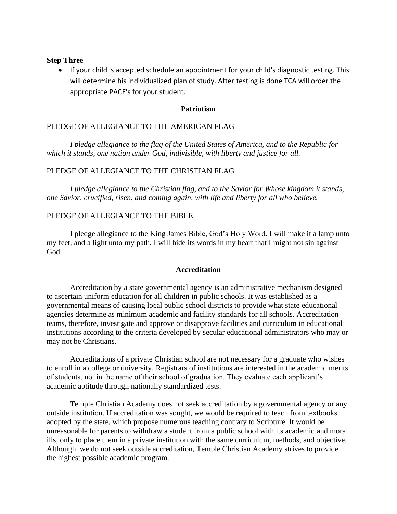# **Step Three**

• If your child is accepted schedule an appointment for your child's diagnostic testing. This will determine his individualized plan of study. After testing is done TCA will order the appropriate PACE's for your student.

# **Patriotism**

# PLEDGE OF ALLEGIANCE TO THE AMERICAN FLAG

*I pledge allegiance to the flag of the United States of America, and to the Republic for which it stands, one nation under God, indivisible, with liberty and justice for all.* 

# PLEDGE OF ALLEGIANCE TO THE CHRISTIAN FLAG

*I pledge allegiance to the Christian flag, and to the Savior for Whose kingdom it stands, one Savior, crucified, risen, and coming again, with life and liberty for all who believe.* 

### PLEDGE OF ALLEGIANCE TO THE BIBLE

I pledge allegiance to the King James Bible, God's Holy Word. I will make it a lamp unto my feet, and a light unto my path. I will hide its words in my heart that I might not sin against God.

### **Accreditation**

Accreditation by a state governmental agency is an administrative mechanism designed to ascertain uniform education for all children in public schools. It was established as a governmental means of causing local public school districts to provide what state educational agencies determine as minimum academic and facility standards for all schools. Accreditation teams, therefore, investigate and approve or disapprove facilities and curriculum in educational institutions according to the criteria developed by secular educational administrators who may or may not be Christians.

Accreditations of a private Christian school are not necessary for a graduate who wishes to enroll in a college or university. Registrars of institutions are interested in the academic merits of students, not in the name of their school of graduation. They evaluate each applicant's academic aptitude through nationally standardized tests.

Temple Christian Academy does not seek accreditation by a governmental agency or any outside institution. If accreditation was sought, we would be required to teach from textbooks adopted by the state, which propose numerous teaching contrary to Scripture. It would be unreasonable for parents to withdraw a student from a public school with its academic and moral ills, only to place them in a private institution with the same curriculum, methods, and objective. Although we do not seek outside accreditation, Temple Christian Academy strives to provide the highest possible academic program.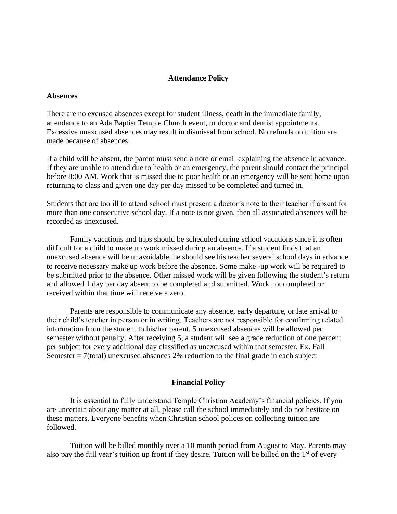### **Attendance Policy**

#### **Absences**

There are no excused absences except for student illness, death in the immediate family, attendance to an Ada Baptist Temple Church event, or doctor and dentist appointments. Excessive unexcused absences may result in dismissal from school. No refunds on tuition are made because of absences.

If a child will be absent, the parent must send a note or email explaining the absence in advance. If they are unable to attend due to health or an emergency, the parent should contact the principal before 8:00 AM. Work that is missed due to poor health or an emergency will be sent home upon returning to class and given one day per day missed to be completed and turned in.

Students that are too ill to attend school must present a doctor's note to their teacher if absent for more than one consecutive school day. If a note is not given, then all associated absences will be recorded as unexcused.

Family vacations and trips should be scheduled during school vacations since it is often difficult for a child to make up work missed during an absence. If a student finds that an unexcused absence will be unavoidable, he should see his teacher several school days in advance to receive necessary make up work before the absence. Some make -up work will be required to be submitted prior to the absence. Other missed work will be given following the student's return and allowed 1 day per day absent to be completed and submitted. Work not completed or received within that time will receive a zero.

Parents are responsible to communicate any absence, early departure, or late arrival to their child's teacher in person or in writing. Teachers are not responsible for confirming related information from the student to his/her parent. 5 unexcused absences will be allowed per semester without penalty. After receiving 5, a student will see a grade reduction of one percent per subject for every additional day classified as unexcused within that semester. Ex. Fall Semester  $= 7$ (total) unexcused absences 2% reduction to the final grade in each subject

### **Financial Policy**

It is essential to fully understand Temple Christian Academy's financial policies. If you are uncertain about any matter at all, please call the school immediately and do not hesitate on these matters. Everyone benefits when Christian school polices on collecting tuition are followed.

Tuition will be billed monthly over a 10 month period from August to May. Parents may also pay the full year's tuition up front if they desire. Tuition will be billed on the 1<sup>st</sup> of every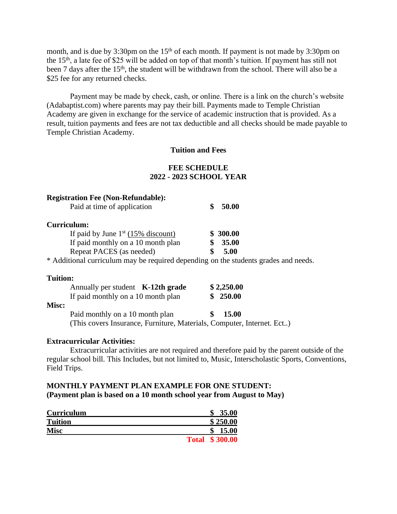month, and is due by  $3:30 \text{pm}$  on the  $15^{\text{th}}$  of each month. If payment is not made by  $3:30 \text{pm}$  on the 15th, a late fee of \$25 will be added on top of that month's tuition. If payment has still not been 7 days after the 15<sup>th</sup>, the student will be withdrawn from the school. There will also be a \$25 fee for any returned checks.

Payment may be made by check, cash, or online. There is a link on the church's website (Adabaptist.com) where parents may pay their bill. Payments made to Temple Christian Academy are given in exchange for the service of academic instruction that is provided. As a result, tuition payments and fees are not tax deductible and all checks should be made payable to Temple Christian Academy.

# **Tuition and Fees**

# **FEE SCHEDULE 2022 - 2023 SCHOOL YEAR**

| <b>Registration Fee (Non-Refundable):</b>                                           |    |           |
|-------------------------------------------------------------------------------------|----|-----------|
| Paid at time of application                                                         | \$ | 50.00     |
| Curriculum:                                                                         |    |           |
|                                                                                     |    |           |
| If paid by June $1st$ (15% discount)                                                |    | \$ 300.00 |
| If paid monthly on a 10 month plan                                                  |    | 35.00     |
| Repeat PACES (as needed)                                                            | S  | 5.00      |
| * Additional curriculum may be required depending on the students grades and needs. |    |           |

### **Tuition:**

|       | Annually per student <b>K-12th grade</b>                               |     | \$2,250.00 |  |
|-------|------------------------------------------------------------------------|-----|------------|--|
|       | If paid monthly on a 10 month plan                                     |     | \$250.00   |  |
| Misc: |                                                                        |     |            |  |
|       | Paid monthly on a 10 month plan                                        | SS. | 15.00      |  |
|       | (This covers Insurance, Furniture, Materials, Computer, Internet. Ect) |     |            |  |

### **Extracurricular Activities:**

Extracurricular activities are not required and therefore paid by the parent outside of the regular school bill. This Includes, but not limited to, Music, Interscholastic Sports, Conventions, Field Trips.

# **MONTHLY PAYMENT PLAN EXAMPLE FOR ONE STUDENT: (Payment plan is based on a 10 month school year from August to May)**

| Curriculum     |                       | 35.00        |
|----------------|-----------------------|--------------|
| <b>Tuition</b> |                       | \$250.00     |
| <b>Misc</b>    |                       | <b>15.00</b> |
|                | <b>Total \$300.00</b> |              |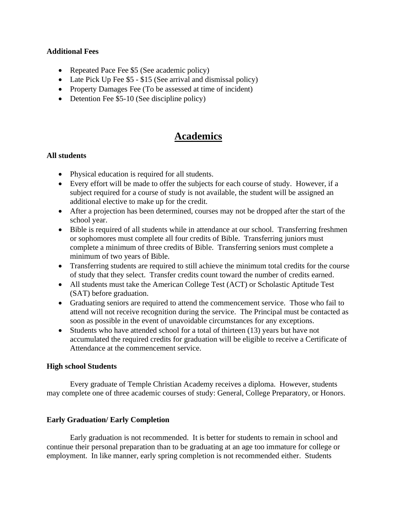# **Additional Fees**

- Repeated Pace Fee \$5 (See academic policy)
- Late Pick Up Fee \$5 \$15 (See arrival and dismissal policy)
- Property Damages Fee (To be assessed at time of incident)
- Detention Fee \$5-10 (See discipline policy)

# **Academics**

# **All students**

- Physical education is required for all students.
- Every effort will be made to offer the subjects for each course of study. However, if a subject required for a course of study is not available, the student will be assigned an additional elective to make up for the credit.
- After a projection has been determined, courses may not be dropped after the start of the school year.
- Bible is required of all students while in attendance at our school. Transferring freshmen or sophomores must complete all four credits of Bible. Transferring juniors must complete a minimum of three credits of Bible. Transferring seniors must complete a minimum of two years of Bible.
- Transferring students are required to still achieve the minimum total credits for the course of study that they select. Transfer credits count toward the number of credits earned.
- All students must take the American College Test (ACT) or Scholastic Aptitude Test (SAT) before graduation.
- Graduating seniors are required to attend the commencement service. Those who fail to attend will not receive recognition during the service. The Principal must be contacted as soon as possible in the event of unavoidable circumstances for any exceptions.
- Students who have attended school for a total of thirteen (13) years but have not accumulated the required credits for graduation will be eligible to receive a Certificate of Attendance at the commencement service.

# **High school Students**

Every graduate of Temple Christian Academy receives a diploma. However, students may complete one of three academic courses of study: General, College Preparatory, or Honors.

# **Early Graduation/ Early Completion**

Early graduation is not recommended. It is better for students to remain in school and continue their personal preparation than to be graduating at an age too immature for college or employment. In like manner, early spring completion is not recommended either. Students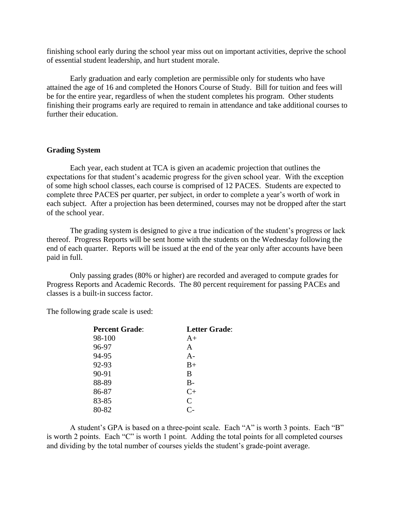finishing school early during the school year miss out on important activities, deprive the school of essential student leadership, and hurt student morale.

Early graduation and early completion are permissible only for students who have attained the age of 16 and completed the Honors Course of Study. Bill for tuition and fees will be for the entire year, regardless of when the student completes his program. Other students finishing their programs early are required to remain in attendance and take additional courses to further their education.

### **Grading System**

Each year, each student at TCA is given an academic projection that outlines the expectations for that student's academic progress for the given school year. With the exception of some high school classes, each course is comprised of 12 PACES. Students are expected to complete three PACES per quarter, per subject, in order to complete a year's worth of work in each subject. After a projection has been determined, courses may not be dropped after the start of the school year.

The grading system is designed to give a true indication of the student's progress or lack thereof. Progress Reports will be sent home with the students on the Wednesday following the end of each quarter. Reports will be issued at the end of the year only after accounts have been paid in full.

Only passing grades (80% or higher) are recorded and averaged to compute grades for Progress Reports and Academic Records. The 80 percent requirement for passing PACEs and classes is a built-in success factor.

The following grade scale is used:

| <b>Letter Grade:</b> |
|----------------------|
| $A+$                 |
| A                    |
| $A -$                |
| $B+$                 |
| B                    |
| $B -$                |
| $C+$                 |
| $\mathcal{C}$        |
| C-                   |
|                      |

A student's GPA is based on a three-point scale. Each "A" is worth 3 points. Each "B" is worth 2 points. Each "C" is worth 1 point. Adding the total points for all completed courses and dividing by the total number of courses yields the student's grade-point average.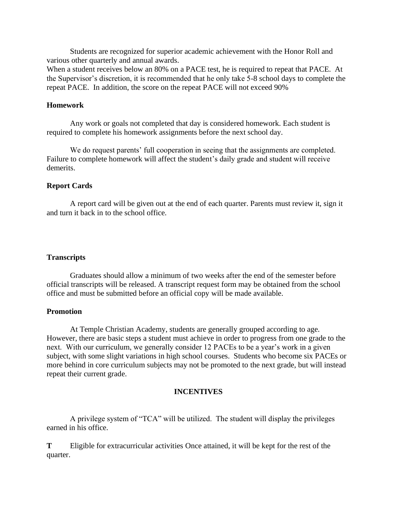Students are recognized for superior academic achievement with the Honor Roll and various other quarterly and annual awards. When a student receives below an 80% on a PACE test, he is required to repeat that PACE. At the Supervisor's discretion, it is recommended that he only take 5-8 school days to complete the repeat PACE. In addition, the score on the repeat PACE will not exceed 90%

### **Homework**

Any work or goals not completed that day is considered homework. Each student is required to complete his homework assignments before the next school day.

We do request parents' full cooperation in seeing that the assignments are completed. Failure to complete homework will affect the student's daily grade and student will receive demerits.

### **Report Cards**

A report card will be given out at the end of each quarter. Parents must review it, sign it and turn it back in to the school office.

### **Transcripts**

Graduates should allow a minimum of two weeks after the end of the semester before official transcripts will be released. A transcript request form may be obtained from the school office and must be submitted before an official copy will be made available.

### **Promotion**

At Temple Christian Academy, students are generally grouped according to age. However, there are basic steps a student must achieve in order to progress from one grade to the next. With our curriculum, we generally consider 12 PACEs to be a year's work in a given subject, with some slight variations in high school courses. Students who become six PACEs or more behind in core curriculum subjects may not be promoted to the next grade, but will instead repeat their current grade.

### **INCENTIVES**

A privilege system of "TCA" will be utilized. The student will display the privileges earned in his office.

**T** Eligible for extracurricular activities Once attained, it will be kept for the rest of the quarter.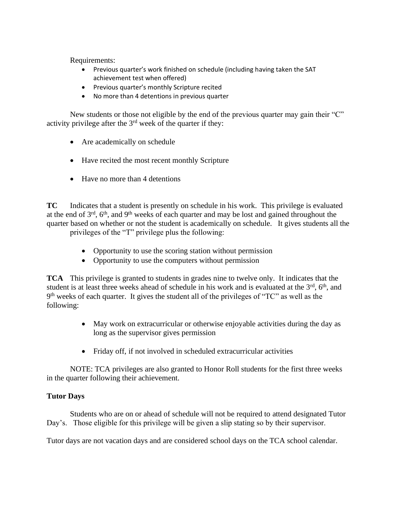Requirements:

- Previous quarter's work finished on schedule (including having taken the SAT achievement test when offered)
- Previous quarter's monthly Scripture recited
- No more than 4 detentions in previous quarter

New students or those not eligible by the end of the previous quarter may gain their "C" activity privilege after the 3rd week of the quarter if they:

- Are academically on schedule
- Have recited the most recent monthly Scripture
- Have no more than 4 detentions

**TC** Indicates that a student is presently on schedule in his work. This privilege is evaluated at the end of 3rd, 6th, and 9th weeks of each quarter and may be lost and gained throughout the quarter based on whether or not the student is academically on schedule. It gives students all the

privileges of the "T" privilege plus the following:

- Opportunity to use the scoring station without permission
- Opportunity to use the computers without permission

**TCA** This privilege is granted to students in grades nine to twelve only. It indicates that the student is at least three weeks ahead of schedule in his work and is evaluated at the  $3<sup>rd</sup>$ ,  $6<sup>th</sup>$ , and 9<sup>th</sup> weeks of each quarter. It gives the student all of the privileges of "TC" as well as the following:

- May work on extracurricular or otherwise enjoyable activities during the day as long as the supervisor gives permission
- Friday off, if not involved in scheduled extracurricular activities

NOTE: TCA privileges are also granted to Honor Roll students for the first three weeks in the quarter following their achievement.

# **Tutor Days**

Students who are on or ahead of schedule will not be required to attend designated Tutor Day's. Those eligible for this privilege will be given a slip stating so by their supervisor.

Tutor days are not vacation days and are considered school days on the TCA school calendar.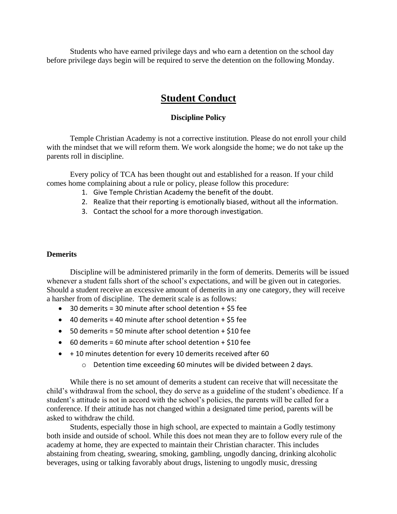Students who have earned privilege days and who earn a detention on the school day before privilege days begin will be required to serve the detention on the following Monday.

# **Student Conduct**

# **Discipline Policy**

Temple Christian Academy is not a corrective institution. Please do not enroll your child with the mindset that we will reform them. We work alongside the home; we do not take up the parents roll in discipline.

Every policy of TCA has been thought out and established for a reason. If your child comes home complaining about a rule or policy, please follow this procedure:

- 1. Give Temple Christian Academy the benefit of the doubt.
- 2. Realize that their reporting is emotionally biased, without all the information.
- 3. Contact the school for a more thorough investigation.

## **Demerits**

Discipline will be administered primarily in the form of demerits. Demerits will be issued whenever a student falls short of the school's expectations, and will be given out in categories. Should a student receive an excessive amount of demerits in any one category, they will receive a harsher from of discipline. The demerit scale is as follows:

- 30 demerits = 30 minute after school detention + \$5 fee
- $\bullet$  40 demerits = 40 minute after school detention + \$5 fee
- $\bullet$  50 demerits = 50 minute after school detention + \$10 fee
- $\bullet$  60 demerits = 60 minute after school detention + \$10 fee
- + 10 minutes detention for every 10 demerits received after 60
	- o Detention time exceeding 60 minutes will be divided between 2 days.

While there is no set amount of demerits a student can receive that will necessitate the child's withdrawal from the school, they do serve as a guideline of the student's obedience. If a student's attitude is not in accord with the school's policies, the parents will be called for a conference. If their attitude has not changed within a designated time period, parents will be asked to withdraw the child.

Students, especially those in high school, are expected to maintain a Godly testimony both inside and outside of school. While this does not mean they are to follow every rule of the academy at home, they are expected to maintain their Christian character. This includes abstaining from cheating, swearing, smoking, gambling, ungodly dancing, drinking alcoholic beverages, using or talking favorably about drugs, listening to ungodly music, dressing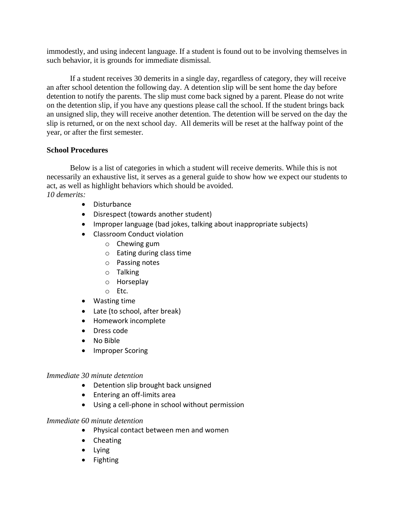immodestly, and using indecent language. If a student is found out to be involving themselves in such behavior, it is grounds for immediate dismissal.

If a student receives 30 demerits in a single day, regardless of category, they will receive an after school detention the following day. A detention slip will be sent home the day before detention to notify the parents. The slip must come back signed by a parent. Please do not write on the detention slip, if you have any questions please call the school. If the student brings back an unsigned slip, they will receive another detention. The detention will be served on the day the slip is returned, or on the next school day. All demerits will be reset at the halfway point of the year, or after the first semester.

# **School Procedures**

Below is a list of categories in which a student will receive demerits. While this is not necessarily an exhaustive list, it serves as a general guide to show how we expect our students to act, as well as highlight behaviors which should be avoided. *10 demerits:* 

- Disturbance
- Disrespect (towards another student)
- Improper language (bad jokes, talking about inappropriate subjects)
- Classroom Conduct violation
	- o Chewing gum
	- o Eating during class time
	- o Passing notes
	- o Talking
	- o Horseplay
	- o Etc.
- Wasting time
- Late (to school, after break)
- Homework incomplete
- Dress code
- No Bible
- Improper Scoring

# *Immediate 30 minute detention*

- Detention slip brought back unsigned
- Entering an off-limits area
- Using a cell-phone in school without permission

# *Immediate 60 minute detention*

- Physical contact between men and women
- Cheating
- Lying
- Fighting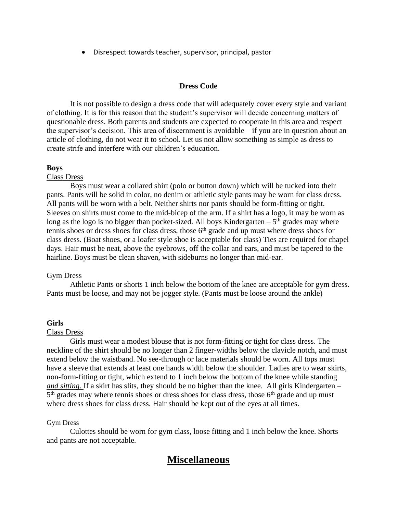• Disrespect towards teacher, supervisor, principal, pastor

## **Dress Code**

It is not possible to design a dress code that will adequately cover every style and variant of clothing. It is for this reason that the student's supervisor will decide concerning matters of questionable dress. Both parents and students are expected to cooperate in this area and respect the supervisor's decision. This area of discernment is avoidable – if you are in question about an article of clothing, do not wear it to school. Let us not allow something as simple as dress to create strife and interfere with our children's education.

### **Boys**

#### Class Dress

Boys must wear a collared shirt (polo or button down) which will be tucked into their pants. Pants will be solid in color, no denim or athletic style pants may be worn for class dress. All pants will be worn with a belt. Neither shirts nor pants should be form-fitting or tight. Sleeves on shirts must come to the mid-bicep of the arm. If a shirt has a logo, it may be worn as long as the logo is no bigger than pocket-sized. All boys Kindergarten  $-5<sup>th</sup>$  grades may where tennis shoes or dress shoes for class dress, those  $6<sup>th</sup>$  grade and up must where dress shoes for class dress. (Boat shoes, or a loafer style shoe is acceptable for class) Ties are required for chapel days. Hair must be neat, above the eyebrows, off the collar and ears, and must be tapered to the hairline. Boys must be clean shaven, with sideburns no longer than mid-ear.

### Gym Dress

Athletic Pants or shorts 1 inch below the bottom of the knee are acceptable for gym dress. Pants must be loose, and may not be jogger style. (Pants must be loose around the ankle)

### **Girls**

#### Class Dress

Girls must wear a modest blouse that is not form-fitting or tight for class dress. The neckline of the shirt should be no longer than 2 finger-widths below the clavicle notch, and must extend below the waistband. No see-through or lace materials should be worn. All tops must have a sleeve that extends at least one hands width below the shoulder. Ladies are to wear skirts, non-form-fitting or tight, which extend to 1 inch below the bottom of the knee while standing *and sitting.* If a skirt has slits, they should be no higher than the knee. All girls Kindergarten – 5<sup>th</sup> grades may where tennis shoes or dress shoes for class dress, those 6<sup>th</sup> grade and up must where dress shoes for class dress. Hair should be kept out of the eyes at all times.

#### Gym Dress

Culottes should be worn for gym class, loose fitting and 1 inch below the knee. Shorts and pants are not acceptable.

# **Miscellaneous**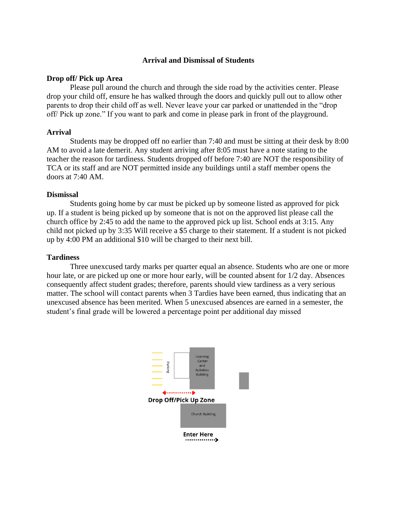# **Arrival and Dismissal of Students**

### **Drop off/ Pick up Area**

Please pull around the church and through the side road by the activities center. Please drop your child off, ensure he has walked through the doors and quickly pull out to allow other parents to drop their child off as well. Never leave your car parked or unattended in the "drop off/ Pick up zone." If you want to park and come in please park in front of the playground.

### **Arrival**

Students may be dropped off no earlier than 7:40 and must be sitting at their desk by 8:00 AM to avoid a late demerit. Any student arriving after 8:05 must have a note stating to the teacher the reason for tardiness. Students dropped off before 7:40 are NOT the responsibility of TCA or its staff and are NOT permitted inside any buildings until a staff member opens the doors at 7:40 AM.

#### **Dismissal**

Students going home by car must be picked up by someone listed as approved for pick up. If a student is being picked up by someone that is not on the approved list please call the church office by 2:45 to add the name to the approved pick up list. School ends at 3:15. Any child not picked up by 3:35 Will receive a \$5 charge to their statement. If a student is not picked up by 4:00 PM an additional \$10 will be charged to their next bill.

#### **Tardiness**

Three unexcused tardy marks per quarter equal an absence. Students who are one or more hour late, or are picked up one or more hour early, will be counted absent for 1/2 day. Absences consequently affect student grades; therefore, parents should view tardiness as a very serious matter. The school will contact parents when 3 Tardies have been earned, thus indicating that an unexcused absence has been merited. When 5 unexcused absences are earned in a semester, the student's final grade will be lowered a percentage point per additional day missed

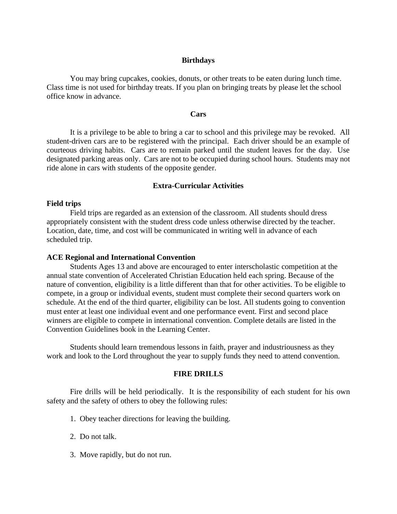### **Birthdays**

You may bring cupcakes, cookies, donuts, or other treats to be eaten during lunch time. Class time is not used for birthday treats. If you plan on bringing treats by please let the school office know in advance.

# **Cars**

It is a privilege to be able to bring a car to school and this privilege may be revoked. All student-driven cars are to be registered with the principal. Each driver should be an example of courteous driving habits. Cars are to remain parked until the student leaves for the day. Use designated parking areas only. Cars are not to be occupied during school hours. Students may not ride alone in cars with students of the opposite gender.

## **Extra-Curricular Activities**

### **Field trips**

Field trips are regarded as an extension of the classroom. All students should dress appropriately consistent with the student dress code unless otherwise directed by the teacher. Location, date, time, and cost will be communicated in writing well in advance of each scheduled trip.

#### **ACE Regional and International Convention**

Students Ages 13 and above are encouraged to enter interscholastic competition at the annual state convention of Accelerated Christian Education held each spring. Because of the nature of convention, eligibility is a little different than that for other activities. To be eligible to compete, in a group or individual events, student must complete their second quarters work on schedule. At the end of the third quarter, eligibility can be lost. All students going to convention must enter at least one individual event and one performance event. First and second place winners are eligible to compete in international convention. Complete details are listed in the Convention Guidelines book in the Learning Center.

Students should learn tremendous lessons in faith, prayer and industriousness as they work and look to the Lord throughout the year to supply funds they need to attend convention.

### **FIRE DRILLS**

Fire drills will be held periodically. It is the responsibility of each student for his own safety and the safety of others to obey the following rules:

- 1. Obey teacher directions for leaving the building.
- 2. Do not talk.
- 3. Move rapidly, but do not run.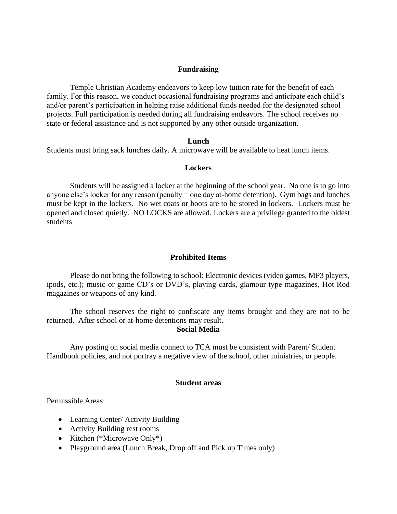## **Fundraising**

Temple Christian Academy endeavors to keep low tuition rate for the benefit of each family. For this reason, we conduct occasional fundraising programs and anticipate each child's and/or parent's participation in helping raise additional funds needed for the designated school projects. Full participation is needed during all fundraising endeavors. The school receives no state or federal assistance and is not supported by any other outside organization.

#### **Lunch**

Students must bring sack lunches daily. A microwave will be available to heat lunch items.

### **Lockers**

Students will be assigned a locker at the beginning of the school year. No one is to go into anyone else's locker for any reason (penalty = one day at-home detention). Gym bags and lunches must be kept in the lockers. No wet coats or boots are to be stored in lockers. Lockers must be opened and closed quietly. NO LOCKS are allowed. Lockers are a privilege granted to the oldest students

### **Prohibited Items**

Please do not bring the following to school: Electronic devices (video games, MP3 players, ipods, etc.); music or game CD's or DVD's, playing cards, glamour type magazines, Hot Rod magazines or weapons of any kind.

The school reserves the right to confiscate any items brought and they are not to be returned. After school or at-home detentions may result.

# **Social Media**

Any posting on social media connect to TCA must be consistent with Parent/ Student Handbook policies, and not portray a negative view of the school, other ministries, or people.

### **Student areas**

Permissible Areas:

- Learning Center/ Activity Building
- Activity Building rest rooms
- Kitchen (\*Microwave Only\*)
- Playground area (Lunch Break, Drop off and Pick up Times only)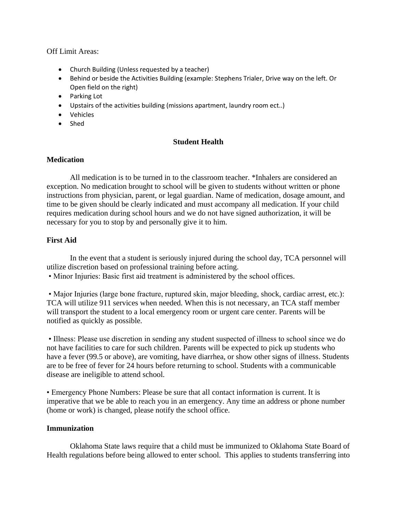Off Limit Areas:

- Church Building (Unless requested by a teacher)
- Behind or beside the Activities Building (example: Stephens Trialer, Drive way on the left. Or Open field on the right)
- Parking Lot
- Upstairs of the activities building (missions apartment, laundry room ect..)
- Vehicles
- Shed

# **Student Health**

## **Medication**

All medication is to be turned in to the classroom teacher. \*Inhalers are considered an exception. No medication brought to school will be given to students without written or phone instructions from physician, parent, or legal guardian. Name of medication, dosage amount, and time to be given should be clearly indicated and must accompany all medication. If your child requires medication during school hours and we do not have signed authorization, it will be necessary for you to stop by and personally give it to him.

# **First Aid**

In the event that a student is seriously injured during the school day, TCA personnel will utilize discretion based on professional training before acting.

• Minor Injuries: Basic first aid treatment is administered by the school offices.

• Major Injuries (large bone fracture, ruptured skin, major bleeding, shock, cardiac arrest, etc.): TCA will utilize 911 services when needed. When this is not necessary, an TCA staff member will transport the student to a local emergency room or urgent care center. Parents will be notified as quickly as possible.

• Illness: Please use discretion in sending any student suspected of illness to school since we do not have facilities to care for such children. Parents will be expected to pick up students who have a fever (99.5 or above), are vomiting, have diarrhea, or show other signs of illness. Students are to be free of fever for 24 hours before returning to school. Students with a communicable disease are ineligible to attend school.

• Emergency Phone Numbers: Please be sure that all contact information is current. It is imperative that we be able to reach you in an emergency. Any time an address or phone number (home or work) is changed, please notify the school office.

# **Immunization**

Oklahoma State laws require that a child must be immunized to Oklahoma State Board of Health regulations before being allowed to enter school. This applies to students transferring into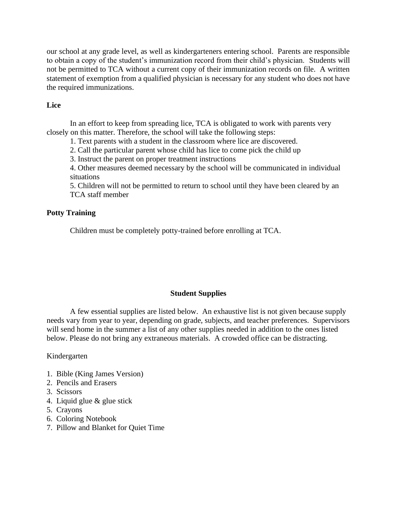our school at any grade level, as well as kindergarteners entering school. Parents are responsible to obtain a copy of the student's immunization record from their child's physician. Students will not be permitted to TCA without a current copy of their immunization records on file. A written statement of exemption from a qualified physician is necessary for any student who does not have the required immunizations.

# **Lice**

In an effort to keep from spreading lice, TCA is obligated to work with parents very closely on this matter. Therefore, the school will take the following steps:

1. Text parents with a student in the classroom where lice are discovered.

2. Call the particular parent whose child has lice to come pick the child up

3. Instruct the parent on proper treatment instructions

4. Other measures deemed necessary by the school will be communicated in individual situations

5. Children will not be permitted to return to school until they have been cleared by an TCA staff member

# **Potty Training**

Children must be completely potty-trained before enrolling at TCA.

# **Student Supplies**

A few essential supplies are listed below. An exhaustive list is not given because supply needs vary from year to year, depending on grade, subjects, and teacher preferences. Supervisors will send home in the summer a list of any other supplies needed in addition to the ones listed below. Please do not bring any extraneous materials. A crowded office can be distracting.

# Kindergarten

- 1. Bible (King James Version)
- 2. Pencils and Erasers
- 3. Scissors
- 4. Liquid glue & glue stick
- 5. Crayons
- 6. Coloring Notebook
- 7. Pillow and Blanket for Quiet Time